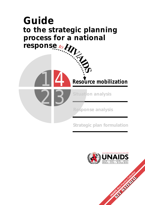## *response to the strategic planning process for a national Guide*

14

2

**Situation analysis** 

*Response analysis*

*Strategic plan formulation*

*Resource mobilization*



**POSTAGE OF CALIFORNIA**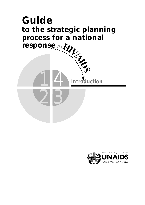# to ...<br>process iv.<br>response to the contract of the contract of the contract of the contract of the contract of the contract of the contract of the contract of the contract of the contract of the contract of the contract of *to the strategic planning process for a national Guide*

3

14

2

*Introduction*



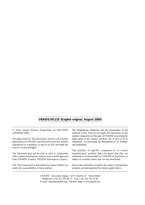#### **UNAIDS/00.21E (English original, August 2000)**

| © Joint United Nations Programme on HIV/AIDS<br>(UNAIDS) 2000. | The designations employed and the presentation of the<br>material in this work do not imply the expression of any<br>opinion whatsoever on the part of UNAIDS concerning the |  |  |
|----------------------------------------------------------------|------------------------------------------------------------------------------------------------------------------------------------------------------------------------------|--|--|
| All rights reserved. This document, which is not a formal      | legal status of any country, territory, city or area or of its                                                                                                               |  |  |
| publication of UNAIDS, may be freely reviewed, quoted,         | authorities, or concerning the delimitation of its frontiers                                                                                                                 |  |  |
| reproduced or translated, in part or in full, provided the     | and boundaries.                                                                                                                                                              |  |  |
| source is acknowledged.                                        | The mention of specific companies or of certain                                                                                                                              |  |  |
| The document may not be sold or used in conjunction            | manufacturers' products does not imply that they are                                                                                                                         |  |  |
| with commercial purposes without prior written approval        | endorsed or recommended by UNAIDS in preference to                                                                                                                           |  |  |
| from UNAIDS (contact: UNAIDS Information Centre).              | others of a similar nature that are not mentioned.                                                                                                                           |  |  |
| The views expressed in documents by named authors are          | Errors and omissions excepted, the names of proprietary                                                                                                                      |  |  |
| solely the responsibility of those authors.                    | products are distinguished by initial capital letters.                                                                                                                       |  |  |
|                                                                |                                                                                                                                                                              |  |  |

UNAIDS - 20 avenue Appia - 1211 Geneva 27 - Switzerland Telephone: (+41 22) 791 46 51 - Fax: (+41 22) 791 41 87 E-mail: unaids@unaids.org - Internet: http://www.unaids.org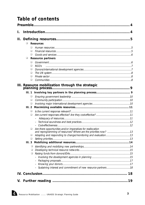## **Table of contents**

| Ι. |        |                                                                  |    |  |  |  |
|----|--------|------------------------------------------------------------------|----|--|--|--|
| П. |        |                                                                  |    |  |  |  |
|    | ❏      | <b>Resources</b>                                                 |    |  |  |  |
|    | ❏      |                                                                  |    |  |  |  |
|    | ❏      |                                                                  |    |  |  |  |
|    | $\Box$ |                                                                  |    |  |  |  |
|    | $\Box$ | <b>Resource partners</b>                                         |    |  |  |  |
|    | ❏      |                                                                  |    |  |  |  |
|    | ❏      | <b>NGOs</b>                                                      |    |  |  |  |
|    | ❏      |                                                                  |    |  |  |  |
|    | ❏      |                                                                  |    |  |  |  |
|    | ❏      |                                                                  |    |  |  |  |
|    | $\Box$ |                                                                  |    |  |  |  |
|    |        |                                                                  |    |  |  |  |
|    |        | III. Resource mobilization through the strategic                 |    |  |  |  |
|    |        |                                                                  |    |  |  |  |
|    | ❏      |                                                                  |    |  |  |  |
|    | ▫      |                                                                  |    |  |  |  |
|    | О      |                                                                  |    |  |  |  |
|    | III.2  |                                                                  |    |  |  |  |
|    | ❏      |                                                                  |    |  |  |  |
|    | ❏      |                                                                  |    |  |  |  |
|    |        |                                                                  |    |  |  |  |
|    |        |                                                                  |    |  |  |  |
|    |        |                                                                  |    |  |  |  |
|    | $\Box$ | Are there opportunities and/or imperatives for reallocation      |    |  |  |  |
|    |        | and reprogramming of resources? Where are the priorities now? 13 |    |  |  |  |
|    | ❏      |                                                                  |    |  |  |  |
|    | ❏      |                                                                  |    |  |  |  |
|    |        |                                                                  |    |  |  |  |
|    | ❏      |                                                                  |    |  |  |  |
|    | ❏      |                                                                  |    |  |  |  |
|    | о      |                                                                  |    |  |  |  |
|    |        |                                                                  |    |  |  |  |
|    |        |                                                                  |    |  |  |  |
|    |        |                                                                  |    |  |  |  |
|    |        |                                                                  |    |  |  |  |
|    |        |                                                                  |    |  |  |  |
|    |        |                                                                  | 19 |  |  |  |
|    |        |                                                                  |    |  |  |  |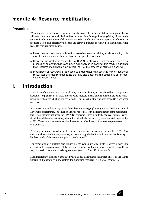## *module 4: Resource mobilization*

#### *Preamble*

While the issue of resources in general, and the scope of resource mobilization in particular, is addressed from time to time in the first three modules of the Strategic Planning Guide, a fourth module specifically on resource mobilization is needed to reinforce its various aspects as referred to in modules 1 to 3, and especially to debate and clarify a number of widely held assumptions with regard to resource mobilization.

- Resources, and resource mobilization, are often seen as relating solely to funding; this module defines and clarifies the broader scope of resources.
- Resource mobilization in the context of HIV/AIDS planning is still too often seen as a process or an activity that takes place exclusively after planning; this module highlights that resource mobilization is an integral part of the process of strategic planning.
- Mobilization of resources is also seen as synonymous with securing new or additional resources; this module emphasizes that it is also about making better use of, or maximizing, existing ones.

## *I. Introduction*

The subject of resources, and their availability or non-availability, is  $-$  or should be  $-$  a major consideration for planners in all areas. Indeed being strategic means, among other things, being realistic not only about the situation one has to address but also about the resources needed to reach one's objectives.

'Resources' is therefore a key theme throughout the strategic planning process (SPP) for national HIV/AIDS programmes. The situation analysis has to deal with the identification of the most important factors that may influence the HIV/AIDS epidemic. These include the status of human, institutional, financial resources that may determine individuals', sectors' or general societal vulnerability to HIV. These resources also determine the scope and effectiveness of national responses (see p. 11 of module 1).

Assessing the resources made available by the key players in the national response to HIV/AIDS is an essential aspect of the response analysis, as is an appraisal of the judicious use that is being or has been made of those resources (see p. 18 of module 2).

The formulation of a strategic plan implies that the availability of adequate resources is taken into account for the implementation of the different strategies in all priority areas; it should also address ways of making better use of existing resources (see pp. 15 and 18 of module 3).

Most importantly, the need to actively involve all key stakeholders in all three phases of the SPP is underlined throughout as a key strategy for mobilizing resources (ref. p. 26 of module 3).

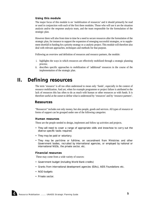#### *Using this module*

The major focus of this module is on 'mobilization of resources' and it should primarily be read or used in conjunction with each of the first three modules. Those who will use it are the situation analysis and/or the response analysis team, and the team responsible for the formulation of the strategic plan.

However there will also from time to time be a need to secure resources after the formulation of the strategic plan, for instance to support the expansion of emerging successful strategies, or to supplement shortfall in funding for a priority strategy or a catalytic project. This module will therefore also deal with relevant approaches, techniques and methods for that purpose.

Following an overview and definition of resources and resource partners, the module:

- i. highlights the ways in which resources are effectively mobilized through a strategic planning process;
- ii. describes specific approaches to mobilization of 'additional' resources in the course of the implementation of the strategic plan.

## *II. Defining resources*

The term 'resource' is all too often understood to mean only 'funds', especially in the context of resource mobilization. And yet, when for example programme or project failure is attributed to the lack of resources this has often to do as much with human or other resources as with funds. It is therefore useful at the outset to define what is understood by 'resources' and by 'resource partners'.

#### *Resources*

"Resources" includes not only money, but also people, goods and services. All types of resource or forms of support can be grouped under one of the following categories:

#### *Human resources*

These are the people needed to design, implement and follow up activities and projects.

- They will need to cover a range of appropriate skills and know-how to carry out the diverse specific tasks required.
- They may be paid or voluntary.
- They may be part-time or full-time, on secondment from Ministries and other Government bodies, recruited by international agencies, or employed by national or international NGOs, the private sector, etc.

#### *Financial resources*

These may come from a wide variety of sources:

- Government budget (including World Bank credits)
- Grants from international development agencies (IDAs), AIDS Foundations etc.
- NGO budgets
- Private sector.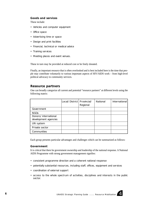#### *Goods and services*

These include:

- Vehicles and computer equipment
- Office space
- Advertising time or space
- Design and print facilities
- Financial, technical or medical advice
- Training services
- Meeting places and event venues.

These in turn may be provided at reduced cost or be freely donated.

Finally, an important resource that is often overlooked and is best included here is the time that people may contribute voluntarily to various important aspects of HIV/AIDS work – from high-level political advocacy to community services.

#### *Resource partners*

One can broadly categorize all current and potential "resource partners" at different levels using the following matrix:

|                                              | Local/District   Provincial/ | Regional | National | International |
|----------------------------------------------|------------------------------|----------|----------|---------------|
| Government                                   |                              |          |          |               |
| NGO <sub>S</sub>                             |                              |          |          |               |
| Donors/international<br>development agencies |                              |          |          |               |
| UN system                                    |                              |          |          |               |
| Private sector                               |                              |          |          |               |
| Communities                                  |                              |          |          |               |

Each group presents particular advantages and challenges which can be summarized as follows:

#### *Government*

It is critical that there be government ownership and leadership of the national response. A National AIDS Programme with strong government management signifies:

- consistent programme direction and a coherent national response
- potentially substantial resources, including staff, offices, equipment and services
- coordination of external support
- access to the whole spectrum of activities, disciplines and interests in the public sector.

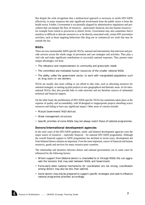But despite the wide recognition that a multisectoral approach is necessary to tackle HIV/AIDS effectively, in many instances the only significant involvement from the public sector is from the health sector. Further, Government is occasionally plagued by administrative regulations and procedures that can hamper the flow of resources – particularly financial, but also human resources – for example from central to provincial or district levels. Government may also sometimes find it sensitive or difficult to allocate resources to, or be directly associated with, certain HIV prevention activities, such as those targeting behaviours like drug use or commercial sex work that may be outside the law.

#### *NGOs*

There are now innumerable AIDS-specific NGOs, national and international, that intervene and provide services across the whole range of prevention and care strategies and activities. They play a vital role and make significant contributions to successful national responses. They present some unique advantages, not least:

- The relevance and responsiveness to community and grassroots needs
- The committed and motivated human resources of the smaller national NGOs
- The ability, unlike the government sector, to work with marginalized populations such as drug users or sex workers.

NGOs are usually also more willing or can afford to take risks, such as allocating resources for untested strategies, or starting up pilot projects in new geographical and thematic areas. As for international NGOs, they also provide links to wide networks and are therefore sources of substantial technical and financial support.

On the other hand, the proliferation of HIV/AIDS-specific NGOs has sometimes taken place at the expense of quality and accountability, with ill-designed or inappropriate projects absorbing scarce resources and failing to have any significant impact. Other areas of concern include:

- Mutual Government/NGO distrust
- Weak management structures
- Specific priorities of some NGOs may not always match those of national programmes.

#### *Donors/international development agencies*

In the early years of the HIV/AIDS epidemic, multi- and bilateral development agencies were the major source of resources – especially financial – for national HIV/AIDS programmes. Although the overall financial support to AIDS programmes has declined in recent years, development aid from bilateral donors remains an important, if not the most important, source of financial and human resources, goods and services for many resource-poor countries.

The relationship and dynamics between donors and national governments can in some cases be influenced by the following factors:

- Where support from bilateral donors is channelled to or through NGOs this can aggravate the tensions that may exist between NGOs and Government.
- Particularly when national mechanisms for coordination are not strong, coordination among donors may also be less than optimal.
- Some donors may only be prepared to support specific strategies and seek to influence national programme priorities accordingly.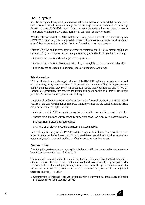#### *The UN system*

Multilateral support has generally diminished and is now focused more on catalytic action, technical assistance and advocacy, including efforts to leverage additional resources. Concurrently, the establishment of UNAIDS is meant to maximize the resources and ensure greater coherence of the efforts of different UN system agencies in support of country responses.

With the establishment of UNAIDS and the increasing effectiveness of UN Theme Groups on HIV/AIDS in countries, it is anticipated that there will be stronger and better coordination not only of the UN system's support but also that of overall external aid in general.

Through UNAIDS and its cosponsors a number of common goods besides a stronger and more coherent UN system response are becoming increasingly available to all countries, including:

- improved access to and exchange of best practices
- improved access to technical resources (e.g. through technical resource networks)
- better access to goods and services, including condoms and drugs.

#### *Private sector*

With growing evidence of the negative impact of the HIV/AIDS epidemic on certain sectors and on productivity, many more members of the private sector are now willing to support prevention programmes which they see as an investment. Of the many partnerships that HIV/AIDS concerns are generating, that between the private and public sectors in countries has unique potential. At the same time it poses a few challenges.

The potential of the private sector resides not just in the financial resources that can be tapped but also in the considerable human resources that it represents and the social leadership that it can provide. Other strengths include:

- its involvement in AIDS prevention may take in both its own workforce and its clients
- specific skills that are very relevant in AIDS prevention, for example in communication
- business-like, professional approaches
- a culture of efficiency, cost-effectiveness and accountability.

On the other hand, the grasp of HIV/AIDS-related issues by the different elements of the private sector is variable and often incomplete. Given these differences and the diverse interests that are represented, coordination and avoiding conflicting messages may be an issue.

#### *Communities*

Potentially the greatest resource capacity is to be found within the communities who are or can be mobilized around the issue of HIV/AIDS.

The community or communities here are defined not just in terms of geographical proximity – although this will often be the case – but in the broad, inclusive sense, of groups of people who may be bound by culture, religion, beliefs, practices and, above all, by a common concern with and interest in HIV/AIDS prevention and care. These different types can also be regrouped under the following categories:

■ Communities of interest – groups of people with a common purpose, such as health professionals working together on HIV.

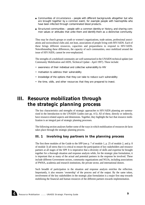- Communities of circumstance people with different backgrounds altogether but who are brought together by a common event, for example people with haemophilia who have been infected through contaminated blood products.
- Structured communities people with a common identity or history, and sharing common values or attitudes that unite them and identify them as a distinctive community.

They may be church groups or youth or women's organizations, trade unions, professional associations and sociocultural clubs and, not least, associations of people living with HIV/AIDS. Each of these brings different resources, capacities and preparedness to respond to HIV/AIDS. Notwithstanding these differences, the capacity of such communities, once mobilized around the issue of HIV/AIDS, cannot be over-emphasized.

The strengths of a mobilized community are well summarized in the UNAIDS technical update (see Community Mobilization and AIDS, Technical Update - April 1997). These include:

- awareness of their individual and collective vulnerability to HIV
- motivation to address their vulnerability
- knowledge of the options that they can take to reduce such vulnerability
- the time, skills, and other resources that they are prepared to invest.

## *III. Resource mobilization through the strategic planning process*

The key characteristics and strengths of strategic approaches to HIV/AIDS planning are summarized in the Introduction to the UNAIDS Guides (see pp. 4-5). All of these, directly or indirectly, have resource-related aspects and dimensions. Together, they highlight the fact that resource mobilization is an integral part of strategic planning processes.

The following section analyses further some of the ways in which mobilization of resources de facto takes place through the strategic planning process.

#### *III. 1 Involving key partners in the planning process*

The first three modules of the Guide to the SPP (see p. 7 of module 1, p. 25 of module 2, and p. 8 of module 3) all stress that it is critical to ensure the participation of key stakeholders and resource partners at all stages of the SPP. It is imperative that a diversity of skills and expertise be brought together for a thorough situation and response analysis while, for the strategic plan formulation, it is important that as many of the actual and potential partners in the response be involved. These include different Government sectors, community organizations and NGOs, including associations of PWHA, academia and research institutions, the private sector, and international donors.

Such breadth of participation in the situation and response analysis enriches the reflection. Importantly, it also ensures 'ownership' of the process and of the output. By the same token, involvement of the key stakeholders in the strategic plan formulation is a major first step towards mobilizing the financial and human resources of the different partners towards implementation.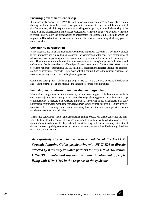#### *Ensuring government leadership*

It is increasingly evident that HIV/AIDS will impact on many countries' long-term plans and on their agenda for social and economic development in particular. It is therefore all the more critical that Government, which is responsible for establishing such agendas, assume the leadership of the entire planning process. And it is not just about technical leadership. High-level political leadership is crucial. The viability and sustainability of programmes will depend on the extent to which the response to HIV is built into the national development framework – something which only governments can effect.

#### *Community participation*

While materials and funds are undoubtedly required to implement activities, it is even more critical to have motivated and skilled human resources. The participation of the concerned communities at relevant stages of the planning process is as important as government leadership in the planning process. They represent the single most important resource for a country's response. Individually and collectively – be they members of affected populations, associations of PLWA, HIV/AIDS service providers, national or international NGOs, small local organizations, research institutions, epidemiologists or behavioural scientists – they make valuable contributions to the national response, the more so when they are involved in the planning process.

Community participation – challenging though it may be – is the one way to ensure the relevance and realism of strategies and to mobilize the inherent resources of communities.

#### *Involving major international development agencies*

Most national programmes to some extent rely upon external support. It is therefore desirable to encourage major donors to participate in a national strategic planning process, especially at the stage of formulation of a strategic plan. As stated in module 3, 'involving all key stakeholders is an early but essential step towards mobilizing resources, human as well as financial'(see p. 8). Such involvement is also to be encouraged since many donors may have specific concerns or priorities that do not always match national priorities.

Their active participation in the national strategic planning process will ensure coherence and maximize the benefits to the country of resource allocation to priority areas. Besides the various 'communities' mentioned above, the 'key stakeholders' at this stage will include not only international donors but also, hopefully, some new or potential resource partners as identified through the situation and response analysis.

*As repeatedly stressed in the various modules of the UNAIDS Strategic Planning Guide, people living with HIV/AIDS or directly affected by it are very valuable partners for any HIV/AIDS action. UNAIDS promotes and supports the greater involvement of people living with HIV/AIDS in the response to the epidemic.*

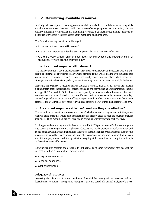#### *III. 2 Maximizing available resources*

A widely held assumption concerning resource mobilization is that it is solely about securing additional or new resources. However, within the context of strategic approaches to planning, it is particularly important to emphasize that mobilizing resources is as much about making judicious or better use of available resources as it is about mobilizing additional ones.

The following are key questions in this regard:

- $\ge$  Is the current response still relevant?
- ➣ Are current responses effective and, in particular, are they cost-effective?
- $\geq$  Are there opportunities and/or imperatives for reallocation and reprogramming of resources? Where are the priorities now?

#### ➣ *Is the current response still relevant?*

The first key question is about the relevance of the current response. One of the reasons why it is critical to adopt strategic approaches to HIV/AIDS planning is that we are dealing with situations that are not static. The situations change – sometimes rapidly – over time and place, which means that strategies and activities that are perfectly relevant now may be less so, or even not at all, in the future.

Hence the importance of a situation analysis and then a response analysis which inform the strategic planning team about the relevance of specific strategies and activities at a particular moment in time (see pp. 16-17 of module 2). In all cases, but especially in situations where human and financial resources are scarce and limited, it is a waste if these continue to be channelled to areas where they are no longer relevant or which are of lesser importance than others. Reprogramming these same resources for areas that are now more relevant is as effective a way of mobilizing resources as any.

#### ➣ *Are current responses effective? And are they cost-effective?*

The second set of questions addresses the issue of whether current strategies and activities, especially in those areas that would have been identified as priority areas through the situation analysis (see pp. 17-18 of module 2), are effective and in particular whether they are cost-effective.

Looking at, and comparing, the effectiveness of specific AIDS prevention and/or impact mitigation interventions or strategies is not straightforward. Issues such as the diversity of epidemiological and social contexts within which interventions take place, the choice and appropriateness of the outcome measures that could be used as proxy indicators of effectiveness, or the complex interaction between the different programmes and strategies that are ongoing at the same time, all complicate attempts at the estimation of effectiveness.

Nonetheless, it is possible and desirable to look critically at some factors that may account for success or failure. These include, among others:

- Adequacy of resources
- Technical soundness
- Cost-effectiveness

#### *Adequacy of resources*

Assessing the adequacy of inputs – technical, financial, but also goods and services and, not least, human resources – into specific strategies is part and parcel of a critical analysis of the rea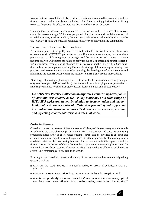sons for their success or failure. It also provides the information required for eventual cost-effectiveness analysis and assists planners and other stakeholders in setting priorities for mobilizing resources for potentially effective strategies that may otherwise get discarded.

The importance of adequate human resources for the success and effectiveness of an activity cannot be stressed enough. While most people will find it easy to attribute failure to lack of material resources, goods or funding, there is often a reluctance to acknowledge that it can be due to lack of specific expertise, inappropriate skills, or even motivation and commitment.

#### *Technical soundness and best practices*

As module 2 points out (see p. 18), much has been learnt in the last decade about what can work or does not work in HIV/AIDS prevention and care. Nonetheless there are many instances where programmes are still learning about what might work best in their particular contexts. Many a response analysis will point to the failure of activities due to lack of technical soundness resulting in significant resources being absorbed by ineffective or inefficient activities. Such situations underscore the importance and significance of a strategy of documenting and sharing 'best practices' and lessons learnt as a way of accelerating the 'learning curve' of programmes and minimizing the needless waste of time and resources on less-than-effective interventions.

At all stages of a strategic planning process, but especially the formulation of strategies in priority areas (see pp. 14-15 of module 3), the teams will be able to pinpoint opportunities for national programmes to take advantage of lessons learnt and international best practices.

*UNAIDS Best Practice Collection incorporates technical updates, points of view and case studies, as well as key materials, on a wide range of HIV/AIDS topics and issues. In addition to documentation and dissemination of best practice material, UNAIDS is promoting and supporting in countries and between countries 'best practice' processes of learning and reflecting about what works and does not work.*

#### *Cost-effectiveness*

Cost-effectiveness is a measure of the comparative efficiency of discrete strategies and methods for achieving the same objective (in this case HIV/AIDS prevention and care). As competing programme needs grow or as resources become scarce, cost-effectiveness is an issue that assumes even greater significance and importance. It is the responsibility of strategic planners to advise decision-makers on making best use of scarce resources. In this regard, cost-effectiveness analysis is the tool of choice that enables programme managers and planners to make informed choices about resource allocation. It identifies the relative efficiency of alternative activities by comparing costs and results or outputs.

Focusing on the cost-effectiveness or efficiency of the response involves continuously asking questions such as:

- what are the costs involved in a specific activity or group of activities in the programme?
- what are the returns on that activity, i.e. what are the benefits we get out of it?
- what is the opportunity cost of such an activity? In other words, are we making optimal use of our resources or will we achieve more by spending resources on other activities?

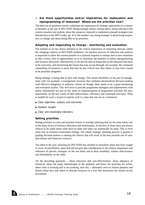#### ➣ *Are there opportunities and/or imperatives for reallocation and reprogramming of resources? Where are the priorities now?*

The third set of questions merely underlines the importance of strategic approaches in a context as dynamic as the one of HIV/AIDS. Being strategic means, among others, being relevant to the current situation and realistic about the resources required to implement planned strategies (see Introduction to the SPP Guides, pp. 4-5). Put another way, being strategic is about being responsive to change and about being able to set priorities.

#### *Adapting and responding to change – monitoring and evaluation*

The module so far has drawn attention to the critical importance of remaining relevant within the changing contexts of HIV/AIDS epidemics. An iterative process of reflection and analysis is important to allow the various partners in a national response to remain alert to new situations as they evolve, alert to opportunities so as to maximize the benefits of timely reprogramming and resource allocation. Alternatively, it can also be seen as being alert to the obstacles that have to be overcome, and minimizing the losses that may accrue through, for example, the continued channelling of resources to areas that may be less critical now than others or may have ceased to be priorities altogether.

Being strategic is being able to deal with change. This means flexibility on the part of management with, for example, a management structure that combines decentralized decision-making with effective delegation of authority. Above all though, there needs to be a good monitoring and evaluation system. This will serve to provide programme managers and implementers with timely information not just on the status of implementation of programme activities but also, importantly, on the key issues of their effectiveness, efficiency and continued relevance. What is needed for such a system to operate well is a plan that sets out at a minimum:

- Clear objectives, outputs and outcomes
- Realistic targets
- Clear and meaningful indicators.

#### *Setting priorities*

Setting priorities is a key and essential feature of strategic planning and, by the same token, one of the many facets of resource allocation and mobilization. At the best of times there are always choices to be made about what must be done and what can realistically be done. This is even more true in resource-constrained settings. The whole strategic planning process is geared to guiding decision-makers in making the choices that will result in the best possible use of valuable human and financial resources.

Too often in the past, planning for HIV/AIDS has resulted in unrealistic plans that have sought to cover all possibilities, plans that did not give due consideration to the relative importance and relevance of specific strategies on the one hand, and to their feasibility, relative effectiveness and affordability on the other.

All the preceding questions – about relevance and cost-effectiveness, about adequacy of resources, about the major determinants of the epidemic and hence the priorities for action, about what is working and is not working, and why – ultimately serve to inform planners and donors about how and where to allocate resources in a way that maximizes the returns on the investment.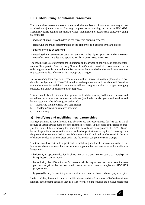#### *III.3 Mobilizing additional resources*

The module has stressed the several ways in which mobilization of resources is an integral part – indeed a major outcome – of strategic approaches to planning responses to HIV/AIDS. Specifically it has outlined the extent to which 'mobilization' of resources is effectively taking place through:

- involving all major stakeholders in the strategic planning process;
- identifying the major determinants of the epidemic at a specific time and place;
- setting priorities accordingly:
- ensuring that scarce resources are channelled to the highest priorities and to the most cost-effective strategies and approaches for a determined objective.

The module has also emphasized the importance and relevance of applying and adapting international 'best practices' and the many 'lessons learnt' about HIV/AIDS prevention and care in order to gain valuable time and minimize the losses that would otherwise result from committing resources to less effective or less appropriate strategies.

Notwithstanding these aspects of resource mobilization inherent in strategic planning, it is evident that the dynamics of HIV/AIDS situations and responses are such that there will from time to time be a need for additional resources to address changing situations, to support emerging strategies and allow an expansion of the response.

This section deals with different strategies and methods for securing 'additional' resources and underlines once more that resources include not just funds but also goods and services and human resources. The following are addressed:

- a) Identifying and mobilizing new partnerships
- b) Developing technical resource networks
- c) Fund-raising

#### *a) Identifying and mobilizing new partnerships*

Strategic planning is about looking into obstacles to, and opportunities for (see pp. 11-12 of module 1) a stronger and more effective expanded response. In the course of the situation analysis the team will be considering the major determinants and consequences of HIV/AIDS and, hence, the priority areas for action as well as the changes that may be required for moving from the present situation to the desired one. Subsequently it will look both at what stands in the way of changes needed in priority areas and at the factors that can promote such changes.

The team can thus contribute a great deal to mobilizing additional resources not only for the immediate short-term needs but also for those opportunities that may arise in the medium to longer term:

- by identifying opportunities for involving new actors and new resource partnerships to bring these changes about;
- by exploring the different specific reasons which may appeal to these potential new partners to get involved or to commit resources for current strategies and HIV/AIDS programmes;
- by paving the way for mobilizing resources for future interventions and emerging strategies.

Understandably, the focus in terms of mobilization of additional resources will often be on international development agencies. But it is also worth looking beyond the obvious traditional

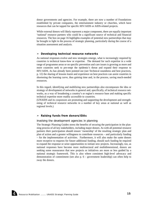donor governments and agencies. For example, there are now a number of Foundations established by private companies, the entertainment industry or churches, which have resources that can be tapped for specific HIV/AIDS or AIDS-related projects.

While external donors will likely represent a major component, there are equally important 'national' resource partners who could be a significant source of technical and financial resources. The box on page 16 highlights examples of potential new partnerships that may be brought to light in the process of strategic planning, particularly during the course of a situation assessment and analysis.

#### ➣ *Developing technical resource networks*

As national responses evolve and new strategies emerge, what is increasingly required by countries is technical know-how or expertise. The demand for such expertise in a wide range of programme areas or on specific prevention and care issues is growing as more and more countries seek to pre-empt the epidemic's threat and expand their response to HIV/AIDS. As has already been pointed out (see Technical soundness and best practices, p. 12) the sharing of lessons learnt and experience on best practices can assist countries in shortening the learning curve, thus gaining time and, in the process, saving much-needed resources.

In this regard, identifying and mobilizing new partnerships also encompasses the idea or strategy of development of networks in general and, specifically, of technical resource networks, as a way of broadening a country's or region's resource base and making specific technical expertise more readily accessible to countries.

(UNAIDS and its cosponsors are promoting and supporting the development and strengthening of technical resource networks in a number of key areas at national as well as regional levels.)

#### ➣ *Raising funds from donors/IDAs*

#### *Involving the development agencies in planning*

The Strategic Planning Guides stress the benefits of securing the participation in the planning process of all key stakeholders, including major donors. As with all potential resource partners their participation should ensure 'ownership' of the resulting strategic plan and plan of action and a greater willingness to contribute resources – and particularly funding – for the implementation of activities. Furthermore, it will also make the same donors more receptive to requests for future additional funding, should such funding be required to expand the response or seize opportunities to initiate new projects. Increasingly, too, as national responses have become more multisectoral and multidimensional, donors are seeking some reassurance that new projects or initiatives are more or less guided by a national strategic framework. This is also where consistent high-level advocacy and demonstration of commitment (see also p. 6 – government leadership) can often help to sway the donors.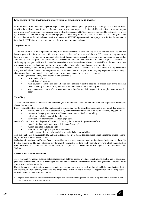#### *General/mainstream development nongovernmental organizations and agencies*

NGOs or bilateral and multilateral agencies responsible for general development projects may not always be aware of the extent to which the epidemic could impact on the outcome of a particular project, on the intended beneficiaries, or even on the project's workforce. The situation analysis may serve to identify mainstream NGOs or agencies that could be potentially involved, try to answer questions concerning for example a project's 'vulnerability' to HIV (e.g. because of extensive use of migrant labour force), and reinforce the rationale and benefits of integrating HIV/AIDS prevention into the project's activities, for example by including HIV/AIDS awareness programmes in the workforce training package.

#### *The private sector*

The impact of the HIV/AIDS epidemic on the private business sector has been growing steadily over the last years, and has become quite visible in some places. Still, many business leaders need to be persuaded that AIDS prevention programmes for their own employees are in their own rational self-interest. In economic terms, such prevention programmes can be marketed as "minimizing costs" or "profit-loss prevention" and protection of valuable fixed investment in "human capital". The advantage of developing new partnerships with private businesses is that they have substantial resources available. At the same time, their workplaces provide excellent opportunities to reach the labour force in large numbers and with high impact.

The situation analysis should briefly describe and prioritize the most relevant sectors of business in terms of HIV prevention in a way that will allow the response analysis team to better focus their investigations into ongoing responses, and the strategic plan formulation team to identify and mobilize or generate partnerships for an expanded response.

The following information may be of interest in that perspective:

- total number of staff
- annual financial turnover
- main sources of income and the particular risk situations related to specific businesses, such as the extensive reliance on migrant labour force, interests in entertainment or tourist industry, etc.
- segmentation of a company's customer base: are vulnerable populations (youth, for example) major parts of that base?

#### *The military*

The armed forces represent a discrete and important group, both in terms of risk of HIV infection<sup>1</sup> and of potential resources to change that situation.

Briefly highlighting their vulnerability emphasizes the benefits that may be gained from making the best use of their resources:

- military recruits are often posted far away from their communities and families for relatively long periods • they are in the age group most sexually active and most inclined to risk taking
- 
- risk taking tends to be part of the military ethos they often have more money than local populations

On the other hand, the army disposes of "resources" that may be harnessed for prevention efforts:

- financial (although often not available for *social* services)
- human: educated and skilled staff
- a disciplined and highly organized environment
- a high concentration of easily reachable high-risk behaviour individuals.

This combination of high susceptibility and non-negligible resources means that the armed forces represent a unique opportunity for effective preventive education.

Gathering information on uniformed forces is a sensitive issue in many countries, and the situation analysis team may have difficulties in doing so. The same objective may however be reached in the long run by actively involving a high-ranking officer from the army's social services in the situation analysis team, so that this person himself can organize an appropriate response "in house".

#### *Academic and research institutions*

These represent yet another different potential resource in that they house a wealth of scientific data, studies and of course people whose expertise may not have been tapped and who may be helpful in subsequent information gathering and follow-up for comparison with benchmark data.

Once informed and solicited, they represent a major resource among others for epidemiological and behavioural data collection and analysis, and for planning, monitoring and programme evaluation, not to mention the capacity for clinical or operational research or socioeconomic impact studies.

1 Comparative studies in several industrialized and developing countries showed that military personnel have a much higher risk of HIV infection than groups of equivalent age and sex in the civilian population.

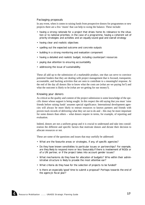#### *Packaging proposals*

In any event, when it comes to raising funds from prospective donors for programmes or new projects there are a few 'musts' that can help to swing the balance. These include:

- having a strong rationale for a project that drives home its relevance to the situation or to national priorities; in the case of a programme, having a coherent set of priority strategies and activities and an equally sound goal and overall strategy
- having clear and realistic objectives
- spelling out the expected outcome and concrete outputs
- building in a strong monitoring and evaluation component
- having a detailed and realistic budget, including counterpart resources
- paying due attention to ensuring accountability
- addressing the issue of sustainability.

These all add up to the submission of a marketable product, one that can serve to convince potential funders that they are dealing with project management that is focused, transparent, accountable, and backing activities that are seen to contribute to a meaningful response. At the end of the day all donors like to know what the costs are (what are we paying for?) and what the outcome is likely to be (what are we getting for our money?).

#### *Knowing your donors*

As critical as the quality and content of the project submission is some knowledge of the specific donor whose support is being sought. In this respect the old saying that you must 'raise friends before raising funds' assumes special significance. International development agencies will always be more likely to entrust resources to known partners and friends with proven track records of delivering what they set out to do and – this may be more important for some donors than others – what donors require in terms, for example, of reporting and evaluation.

Indeed, donors are not a uniform group and it is crucial to understand and take into consideration the different and specific factors that motivate donors and dictate their decision to allocate resources or not.

These are some of the questions and issues that may usefully be addressed:

- What are the favourite areas or strategies, if any, of specific agencies?
- Do they have known sensitivities to particular issues or partnerships? For example, are they likely to respond more or less favourably if there is involvement of NGOs or of a UN partner, or if the project takes into account gender issues?
- What mechanisms do they have for allocation of budgets? Who within their administrative structure is likely to provide the most attentive ear?
- What criteria do they have for the selection of projects to be funded?
- Is there an especially 'good' time to submit a proposal? Perhaps towards the end of the agency's fiscal year?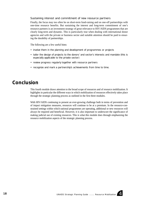#### *Sustaining interest and commitment of new resource partners*

Finally, the focus may too often be on short-term fund-raising and on one-off partnerships with one-time resource benefits. But sustaining the interest and long-term commitment of one's resource partners is an investment strategy of great relevance to HIV/AIDS programmes that are clearly long-term and dynamic. This is particularly true when dealing with international donor agencies and with the private or business sector and suitable attention should be paid to ensuring the durability of partnerships.

The following are a few useful hints:

- involve them in the planning and development of programmes or projects
- tailor the design of projects to the donors' and sector's interests and mandate (this is especially applicable to the private sector)
- review progress regularly together with resource partners
- recognize and mark a partnership's achievements from time to time.

## *Conclusion*

This fourth module draws attention to the broad scope of resources and of resource mobilization. It highlights in particular the different ways in which mobilization of resources effectively takes place through the strategic planning process as outlined in the first three modules.

With HIV/AIDS continuing to present an ever-growing challenge both in terms of prevention and of impact mitigation measures, resources will continue to be at a premium. In the resource-constrained settings within which national programmes are operating, additional or new resources will always be required and beneficial. However, it is also important to underscore the significance of making judicial use of existing resources. This is what this module does through emphasizing the resource mobilization aspects of the strategic planning process.

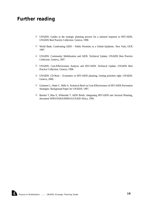## *Further reading*

- ❑ UNAIDS. Guides to the strategic planning process for a national response to HIV/AIDS, UNAIDS Best Practice Collection. Geneva, 1998.
- ❑ World Bank. Confronting AIDS Public Priorities in a Global Epidemic. New York, OUP, 1997.
- ❑ UNAIDS. Community Mobilization and AIDS. Technical Update, UNAIDS Best Practice Collection. Geneva, 1997.
- ❑ UNAIDS. Cost-Effectiveness Analysis and HIV/AIDS. Technical Update, UNAIDS Best Practice Collection. Geneva, 1998.
- ❑ UNAIDS. CD-Rom Economics in HIV/AIDS planning. Getting priorities right. UNAIDS, Geneva, 2000.
- ❑ Guinness L, Watts C, Mills A. Technical Brief on Cost-Effectiveness of HIV/AIDS Prevention Strategies. Background Paper for UNAIDS, 1997.
- ❑ Barnett T, Blas E, Whiteside T. AIDS Briefs. Integrating HIV/AIDS into Sectoral Planning, document WHO/SARA/HHRAA/USAID Africa, 1995.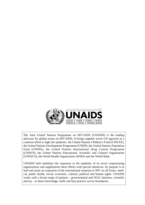

The Joint United Nations Programme on HIV/AIDS (UNAIDS) is the leading advocate for global action on HIV/AIDS. It brings together seven UN agencies in a common effort to fight the epidemic: the United Nations Children's Fund (UNICEF), the United Nations Development Programme (UNDP), the United Nations Population Fund (UNFPA), the United Nations International Drug Control Programme (UNDCP), the United Nations Educational, Scientific and Cultural Organization (UNESCO), the World Health Organization (WHO) and the World Bank.

UNAIDS both mobilizes the responses to the epidemic of its seven cosponsoring organizations and supplements these efforts with special initiatives. Its purpose is to lead and assist an expansion of the international response to HIV on all fronts: medical, public health, social, economic, cultural, political and human rights. UNAIDS works with a broad range of partners - governrnental and NGO, business, scientific and lay - to share knowledge, skills and best practice across boundaries.